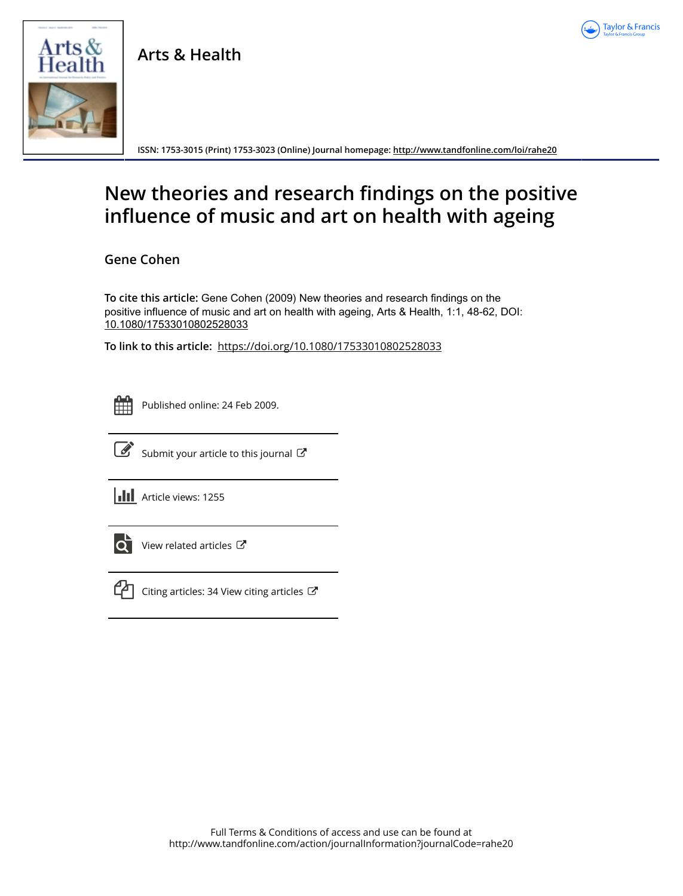

**Arts & Health**



**ISSN: 1753-3015 (Print) 1753-3023 (Online) Journal homepage:<http://www.tandfonline.com/loi/rahe20>**

# **New theories and research findings on the positive influence of music and art on health with ageing**

**Gene Cohen**

**To cite this article:** Gene Cohen (2009) New theories and research findings on the positive influence of music and art on health with ageing, Arts & Health, 1:1, 48-62, DOI: [10.1080/17533010802528033](http://www.tandfonline.com/action/showCitFormats?doi=10.1080/17533010802528033)

**To link to this article:** <https://doi.org/10.1080/17533010802528033>

|  | - |  |
|--|---|--|
|  |   |  |
|  |   |  |
|  |   |  |

Published online: 24 Feb 2009.



 $\overrightarrow{S}$  [Submit your article to this journal](http://www.tandfonline.com/action/authorSubmission?journalCode=rahe20&show=instructions)  $\overrightarrow{S}$ 

**III** Article views: 1255



 $\overline{Q}$  [View related articles](http://www.tandfonline.com/doi/mlt/10.1080/17533010802528033)  $\overline{C}$ 



 $\mathbb{C}$  [Citing articles: 34 View citing articles](http://www.tandfonline.com/doi/citedby/10.1080/17533010802528033#tabModule)  $\mathbb{C}$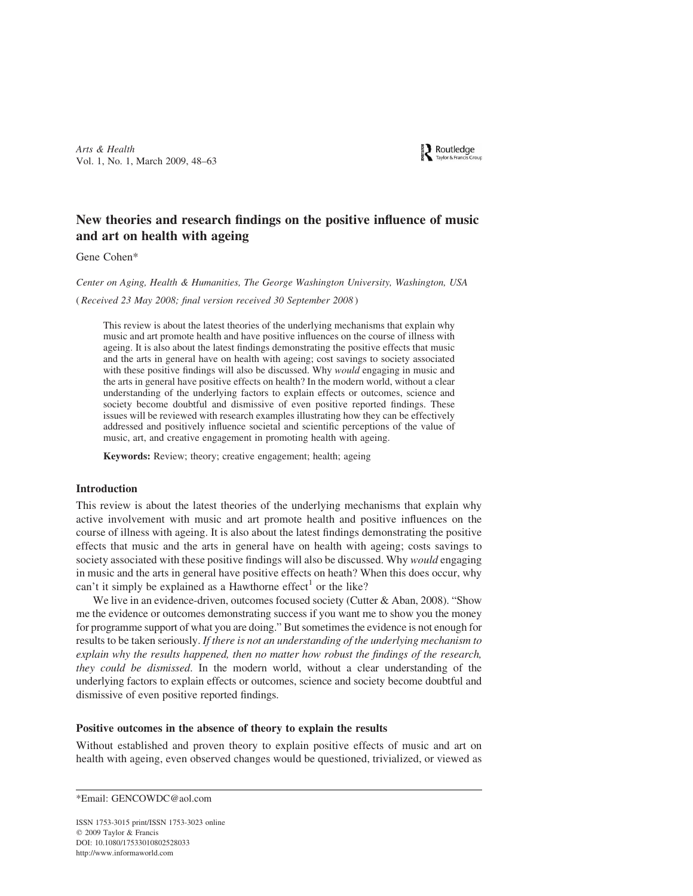Arts & Health Vol. 1, No. 1, March 2009, 48–63



# New theories and research findings on the positive influence of music and art on health with ageing

Gene Cohen\*

Center on Aging, Health & Humanities, The George Washington University, Washington, USA

( Received 23 May 2008; final version received 30 September 2008 )

This review is about the latest theories of the underlying mechanisms that explain why music and art promote health and have positive influences on the course of illness with ageing. It is also about the latest findings demonstrating the positive effects that music and the arts in general have on health with ageing; cost savings to society associated with these positive findings will also be discussed. Why *would* engaging in music and the arts in general have positive effects on health? In the modern world, without a clear understanding of the underlying factors to explain effects or outcomes, science and society become doubtful and dismissive of even positive reported findings. These issues will be reviewed with research examples illustrating how they can be effectively addressed and positively influence societal and scientific perceptions of the value of music, art, and creative engagement in promoting health with ageing.

Keywords: Review; theory; creative engagement; health; ageing

# Introduction

This review is about the latest theories of the underlying mechanisms that explain why active involvement with music and art promote health and positive influences on the course of illness with ageing. It is also about the latest findings demonstrating the positive effects that music and the arts in general have on health with ageing; costs savings to society associated with these positive findings will also be discussed. Why *would* engaging in music and the arts in general have positive effects on heath? When this does occur, why can't it simply be explained as a Hawthorne effect<sup>1</sup> or the like?

We live in an evidence-driven, outcomes focused society (Cutter & Aban, 2008). "Show me the evidence or outcomes demonstrating success if you want me to show you the money for programme support of what you are doing." But sometimes the evidence is not enough for results to be taken seriously. If there is not an understanding of the underlying mechanism to explain why the results happened, then no matter how robust the findings of the research, they could be dismissed. In the modern world, without a clear understanding of the underlying factors to explain effects or outcomes, science and society become doubtful and dismissive of even positive reported findings.

#### Positive outcomes in the absence of theory to explain the results

Without established and proven theory to explain positive effects of music and art on health with ageing, even observed changes would be questioned, trivialized, or viewed as

<sup>\*</sup>Email: GENCOWDC@aol.com

ISSN 1753-3015 print/ISSN 1753-3023 online  $© 2009 Taylor & Francis$ DOI: 10.1080/17533010802528033 http://www.informaworld.com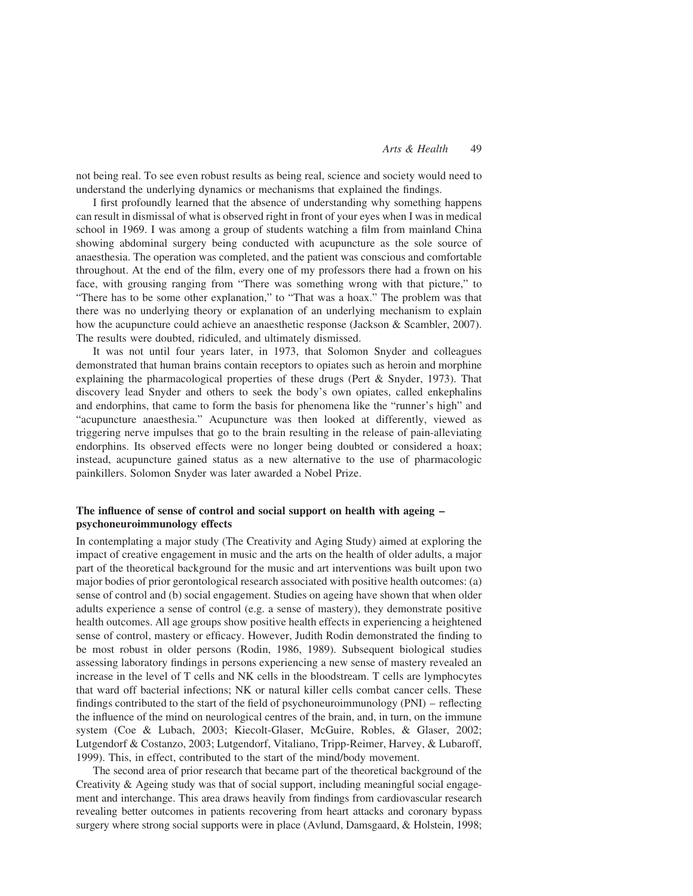not being real. To see even robust results as being real, science and society would need to understand the underlying dynamics or mechanisms that explained the findings.

I first profoundly learned that the absence of understanding why something happens can result in dismissal of what is observed right in front of your eyes when I was in medical school in 1969. I was among a group of students watching a film from mainland China showing abdominal surgery being conducted with acupuncture as the sole source of anaesthesia. The operation was completed, and the patient was conscious and comfortable throughout. At the end of the film, every one of my professors there had a frown on his face, with grousing ranging from "There was something wrong with that picture," to "There has to be some other explanation," to "That was a hoax." The problem was that there was no underlying theory or explanation of an underlying mechanism to explain how the acupuncture could achieve an anaesthetic response (Jackson & Scambler, 2007). The results were doubted, ridiculed, and ultimately dismissed.

It was not until four years later, in 1973, that Solomon Snyder and colleagues demonstrated that human brains contain receptors to opiates such as heroin and morphine explaining the pharmacological properties of these drugs (Pert & Snyder, 1973). That discovery lead Snyder and others to seek the body's own opiates, called enkephalins and endorphins, that came to form the basis for phenomena like the "runner's high" and "acupuncture anaesthesia." Acupuncture was then looked at differently, viewed as triggering nerve impulses that go to the brain resulting in the release of pain-alleviating endorphins. Its observed effects were no longer being doubted or considered a hoax; instead, acupuncture gained status as a new alternative to the use of pharmacologic painkillers. Solomon Snyder was later awarded a Nobel Prize.

# The influence of sense of control and social support on health with ageing – psychoneuroimmunology effects

In contemplating a major study (The Creativity and Aging Study) aimed at exploring the impact of creative engagement in music and the arts on the health of older adults, a major part of the theoretical background for the music and art interventions was built upon two major bodies of prior gerontological research associated with positive health outcomes: (a) sense of control and (b) social engagement. Studies on ageing have shown that when older adults experience a sense of control (e.g. a sense of mastery), they demonstrate positive health outcomes. All age groups show positive health effects in experiencing a heightened sense of control, mastery or efficacy. However, Judith Rodin demonstrated the finding to be most robust in older persons (Rodin, 1986, 1989). Subsequent biological studies assessing laboratory findings in persons experiencing a new sense of mastery revealed an increase in the level of T cells and NK cells in the bloodstream. T cells are lymphocytes that ward off bacterial infections; NK or natural killer cells combat cancer cells. These findings contributed to the start of the field of psychoneuroimmunology (PNI) – reflecting the influence of the mind on neurological centres of the brain, and, in turn, on the immune system (Coe & Lubach, 2003; Kiecolt-Glaser, McGuire, Robles, & Glaser, 2002; Lutgendorf & Costanzo, 2003; Lutgendorf, Vitaliano, Tripp-Reimer, Harvey, & Lubaroff, 1999). This, in effect, contributed to the start of the mind/body movement.

The second area of prior research that became part of the theoretical background of the Creativity & Ageing study was that of social support, including meaningful social engagement and interchange. This area draws heavily from findings from cardiovascular research revealing better outcomes in patients recovering from heart attacks and coronary bypass surgery where strong social supports were in place (Avlund, Damsgaard, & Holstein, 1998;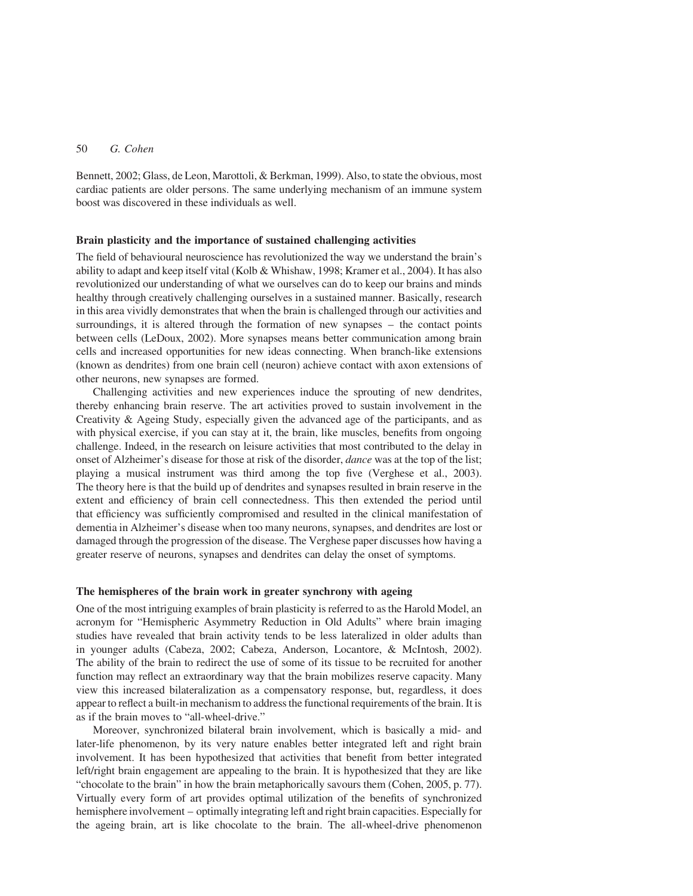Bennett, 2002; Glass, de Leon, Marottoli, & Berkman, 1999). Also, to state the obvious, most cardiac patients are older persons. The same underlying mechanism of an immune system boost was discovered in these individuals as well.

#### Brain plasticity and the importance of sustained challenging activities

The field of behavioural neuroscience has revolutionized the way we understand the brain's ability to adapt and keep itself vital (Kolb & Whishaw, 1998; Kramer et al., 2004). It has also revolutionized our understanding of what we ourselves can do to keep our brains and minds healthy through creatively challenging ourselves in a sustained manner. Basically, research in this area vividly demonstrates that when the brain is challenged through our activities and surroundings, it is altered through the formation of new synapses – the contact points between cells (LeDoux, 2002). More synapses means better communication among brain cells and increased opportunities for new ideas connecting. When branch-like extensions (known as dendrites) from one brain cell (neuron) achieve contact with axon extensions of other neurons, new synapses are formed.

Challenging activities and new experiences induce the sprouting of new dendrites, thereby enhancing brain reserve. The art activities proved to sustain involvement in the Creativity & Ageing Study, especially given the advanced age of the participants, and as with physical exercise, if you can stay at it, the brain, like muscles, benefits from ongoing challenge. Indeed, in the research on leisure activities that most contributed to the delay in onset of Alzheimer's disease for those at risk of the disorder, dance was at the top of the list; playing a musical instrument was third among the top five (Verghese et al., 2003). The theory here is that the build up of dendrites and synapses resulted in brain reserve in the extent and efficiency of brain cell connectedness. This then extended the period until that efficiency was sufficiently compromised and resulted in the clinical manifestation of dementia in Alzheimer's disease when too many neurons, synapses, and dendrites are lost or damaged through the progression of the disease. The Verghese paper discusses how having a greater reserve of neurons, synapses and dendrites can delay the onset of symptoms.

# The hemispheres of the brain work in greater synchrony with ageing

One of the most intriguing examples of brain plasticity is referred to as the Harold Model, an acronym for "Hemispheric Asymmetry Reduction in Old Adults" where brain imaging studies have revealed that brain activity tends to be less lateralized in older adults than in younger adults (Cabeza, 2002; Cabeza, Anderson, Locantore, & McIntosh, 2002). The ability of the brain to redirect the use of some of its tissue to be recruited for another function may reflect an extraordinary way that the brain mobilizes reserve capacity. Many view this increased bilateralization as a compensatory response, but, regardless, it does appear to reflect a built-in mechanism to address the functional requirements of the brain. It is as if the brain moves to "all-wheel-drive."

Moreover, synchronized bilateral brain involvement, which is basically a mid- and later-life phenomenon, by its very nature enables better integrated left and right brain involvement. It has been hypothesized that activities that benefit from better integrated left/right brain engagement are appealing to the brain. It is hypothesized that they are like "chocolate to the brain" in how the brain metaphorically savours them (Cohen, 2005, p. 77). Virtually every form of art provides optimal utilization of the benefits of synchronized hemisphere involvement – optimally integrating left and right brain capacities. Especially for the ageing brain, art is like chocolate to the brain. The all-wheel-drive phenomenon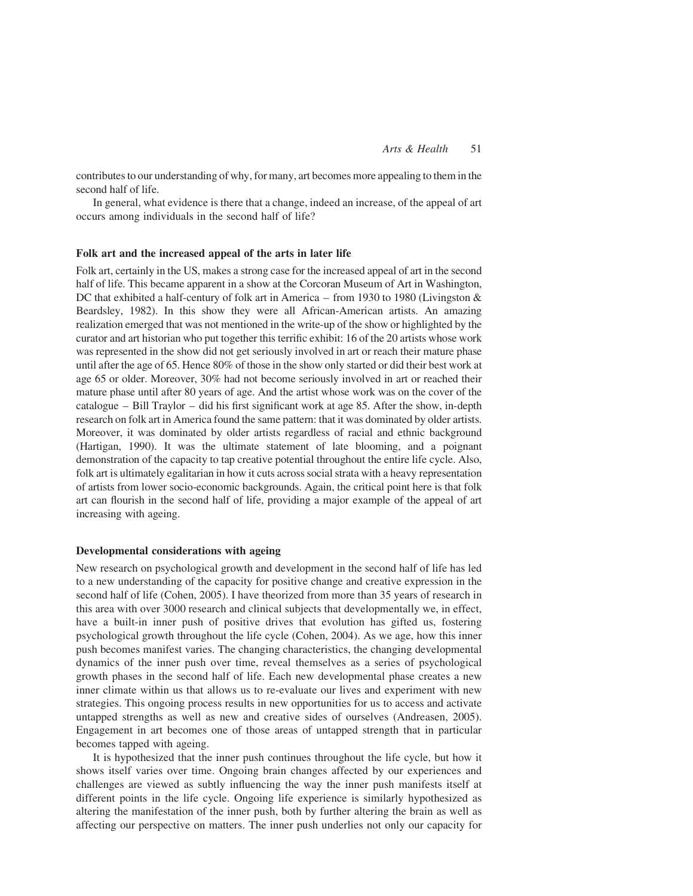contributes to our understanding of why, for many, art becomes more appealing to them in the second half of life.

In general, what evidence is there that a change, indeed an increase, of the appeal of art occurs among individuals in the second half of life?

#### Folk art and the increased appeal of the arts in later life

Folk art, certainly in the US, makes a strong case for the increased appeal of art in the second half of life. This became apparent in a show at the Corcoran Museum of Art in Washington, DC that exhibited a half-century of folk art in America – from 1930 to 1980 (Livingston & Beardsley, 1982). In this show they were all African-American artists. An amazing realization emerged that was not mentioned in the write-up of the show or highlighted by the curator and art historian who put together this terrific exhibit: 16 of the 20 artists whose work was represented in the show did not get seriously involved in art or reach their mature phase until after the age of 65. Hence 80% of those in the show only started or did their best work at age 65 or older. Moreover, 30% had not become seriously involved in art or reached their mature phase until after 80 years of age. And the artist whose work was on the cover of the catalogue – Bill Traylor – did his first significant work at age 85. After the show, in-depth research on folk art in America found the same pattern: that it was dominated by older artists. Moreover, it was dominated by older artists regardless of racial and ethnic background (Hartigan, 1990). It was the ultimate statement of late blooming, and a poignant demonstration of the capacity to tap creative potential throughout the entire life cycle. Also, folk art is ultimately egalitarian in how it cuts across social strata with a heavy representation of artists from lower socio-economic backgrounds. Again, the critical point here is that folk art can flourish in the second half of life, providing a major example of the appeal of art increasing with ageing.

#### Developmental considerations with ageing

New research on psychological growth and development in the second half of life has led to a new understanding of the capacity for positive change and creative expression in the second half of life (Cohen, 2005). I have theorized from more than 35 years of research in this area with over 3000 research and clinical subjects that developmentally we, in effect, have a built-in inner push of positive drives that evolution has gifted us, fostering psychological growth throughout the life cycle (Cohen, 2004). As we age, how this inner push becomes manifest varies. The changing characteristics, the changing developmental dynamics of the inner push over time, reveal themselves as a series of psychological growth phases in the second half of life. Each new developmental phase creates a new inner climate within us that allows us to re-evaluate our lives and experiment with new strategies. This ongoing process results in new opportunities for us to access and activate untapped strengths as well as new and creative sides of ourselves (Andreasen, 2005). Engagement in art becomes one of those areas of untapped strength that in particular becomes tapped with ageing.

It is hypothesized that the inner push continues throughout the life cycle, but how it shows itself varies over time. Ongoing brain changes affected by our experiences and challenges are viewed as subtly influencing the way the inner push manifests itself at different points in the life cycle. Ongoing life experience is similarly hypothesized as altering the manifestation of the inner push, both by further altering the brain as well as affecting our perspective on matters. The inner push underlies not only our capacity for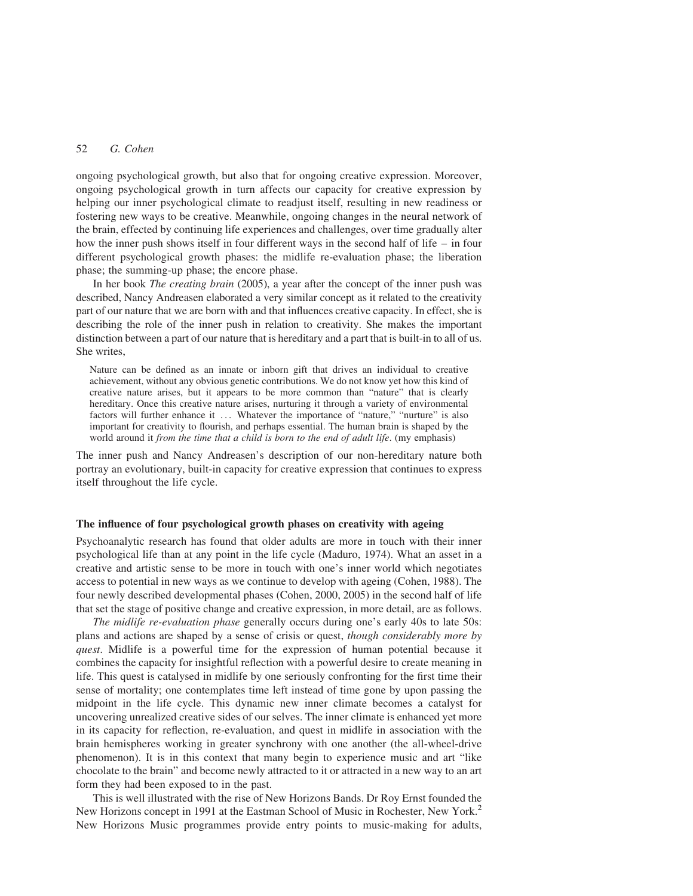ongoing psychological growth, but also that for ongoing creative expression. Moreover, ongoing psychological growth in turn affects our capacity for creative expression by helping our inner psychological climate to readjust itself, resulting in new readiness or fostering new ways to be creative. Meanwhile, ongoing changes in the neural network of the brain, effected by continuing life experiences and challenges, over time gradually alter how the inner push shows itself in four different ways in the second half of life – in four different psychological growth phases: the midlife re-evaluation phase; the liberation phase; the summing-up phase; the encore phase.

In her book The creating brain (2005), a year after the concept of the inner push was described, Nancy Andreasen elaborated a very similar concept as it related to the creativity part of our nature that we are born with and that influences creative capacity. In effect, she is describing the role of the inner push in relation to creativity. She makes the important distinction between a part of our nature that is hereditary and a part that is built-in to all of us. She writes,

Nature can be defined as an innate or inborn gift that drives an individual to creative achievement, without any obvious genetic contributions. We do not know yet how this kind of creative nature arises, but it appears to be more common than "nature" that is clearly hereditary. Once this creative nature arises, nurturing it through a variety of environmental factors will further enhance it ... Whatever the importance of "nature," "nurture" is also important for creativity to flourish, and perhaps essential. The human brain is shaped by the world around it *from the time that a child is born to the end of adult life.* (my emphasis)

The inner push and Nancy Andreasen's description of our non-hereditary nature both portray an evolutionary, built-in capacity for creative expression that continues to express itself throughout the life cycle.

#### The influence of four psychological growth phases on creativity with ageing

Psychoanalytic research has found that older adults are more in touch with their inner psychological life than at any point in the life cycle (Maduro, 1974). What an asset in a creative and artistic sense to be more in touch with one's inner world which negotiates access to potential in new ways as we continue to develop with ageing (Cohen, 1988). The four newly described developmental phases (Cohen, 2000, 2005) in the second half of life that set the stage of positive change and creative expression, in more detail, are as follows.

The midlife re-evaluation phase generally occurs during one's early 40s to late 50s: plans and actions are shaped by a sense of crisis or quest, *though considerably more by* quest. Midlife is a powerful time for the expression of human potential because it combines the capacity for insightful reflection with a powerful desire to create meaning in life. This quest is catalysed in midlife by one seriously confronting for the first time their sense of mortality; one contemplates time left instead of time gone by upon passing the midpoint in the life cycle. This dynamic new inner climate becomes a catalyst for uncovering unrealized creative sides of our selves. The inner climate is enhanced yet more in its capacity for reflection, re-evaluation, and quest in midlife in association with the brain hemispheres working in greater synchrony with one another (the all-wheel-drive phenomenon). It is in this context that many begin to experience music and art "like chocolate to the brain" and become newly attracted to it or attracted in a new way to an art form they had been exposed to in the past.

This is well illustrated with the rise of New Horizons Bands. Dr Roy Ernst founded the New Horizons concept in 1991 at the Eastman School of Music in Rochester, New York.<sup>2</sup> New Horizons Music programmes provide entry points to music-making for adults,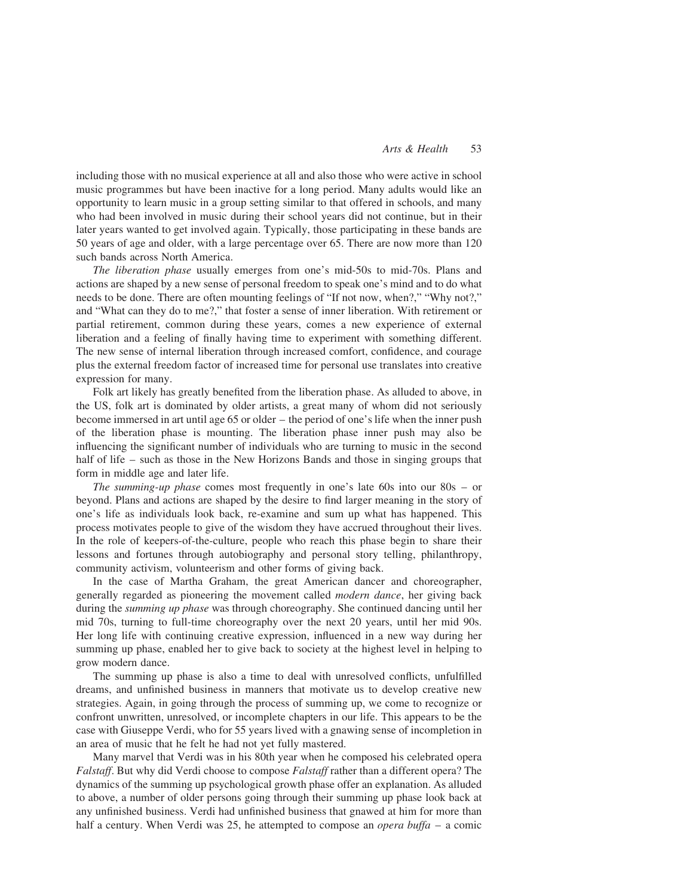including those with no musical experience at all and also those who were active in school music programmes but have been inactive for a long period. Many adults would like an opportunity to learn music in a group setting similar to that offered in schools, and many who had been involved in music during their school years did not continue, but in their later years wanted to get involved again. Typically, those participating in these bands are 50 years of age and older, with a large percentage over 65. There are now more than 120 such bands across North America.

The liberation phase usually emerges from one's mid-50s to mid-70s. Plans and actions are shaped by a new sense of personal freedom to speak one's mind and to do what needs to be done. There are often mounting feelings of "If not now, when?," "Why not?," and "What can they do to me?," that foster a sense of inner liberation. With retirement or partial retirement, common during these years, comes a new experience of external liberation and a feeling of finally having time to experiment with something different. The new sense of internal liberation through increased comfort, confidence, and courage plus the external freedom factor of increased time for personal use translates into creative expression for many.

Folk art likely has greatly benefited from the liberation phase. As alluded to above, in the US, folk art is dominated by older artists, a great many of whom did not seriously become immersed in art until age 65 or older – the period of one's life when the inner push of the liberation phase is mounting. The liberation phase inner push may also be influencing the significant number of individuals who are turning to music in the second half of life – such as those in the New Horizons Bands and those in singing groups that form in middle age and later life.

The summing-up phase comes most frequently in one's late 60s into our 80s – or beyond. Plans and actions are shaped by the desire to find larger meaning in the story of one's life as individuals look back, re-examine and sum up what has happened. This process motivates people to give of the wisdom they have accrued throughout their lives. In the role of keepers-of-the-culture, people who reach this phase begin to share their lessons and fortunes through autobiography and personal story telling, philanthropy, community activism, volunteerism and other forms of giving back.

In the case of Martha Graham, the great American dancer and choreographer, generally regarded as pioneering the movement called modern dance, her giving back during the *summing up phase* was through choreography. She continued dancing until her mid 70s, turning to full-time choreography over the next 20 years, until her mid 90s. Her long life with continuing creative expression, influenced in a new way during her summing up phase, enabled her to give back to society at the highest level in helping to grow modern dance.

The summing up phase is also a time to deal with unresolved conflicts, unfulfilled dreams, and unfinished business in manners that motivate us to develop creative new strategies. Again, in going through the process of summing up, we come to recognize or confront unwritten, unresolved, or incomplete chapters in our life. This appears to be the case with Giuseppe Verdi, who for 55 years lived with a gnawing sense of incompletion in an area of music that he felt he had not yet fully mastered.

Many marvel that Verdi was in his 80th year when he composed his celebrated opera Falstaff. But why did Verdi choose to compose Falstaff rather than a different opera? The dynamics of the summing up psychological growth phase offer an explanation. As alluded to above, a number of older persons going through their summing up phase look back at any unfinished business. Verdi had unfinished business that gnawed at him for more than half a century. When Verdi was 25, he attempted to compose an *opera buffa* – a comic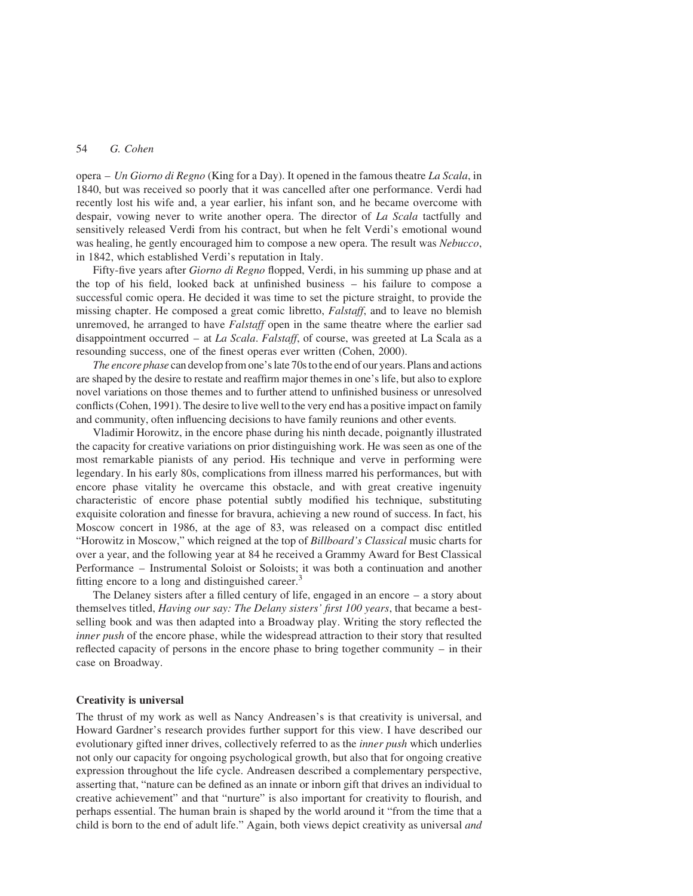opera – Un Giorno di Regno (King for a Day). It opened in the famous theatre La Scala, in 1840, but was received so poorly that it was cancelled after one performance. Verdi had recently lost his wife and, a year earlier, his infant son, and he became overcome with despair, vowing never to write another opera. The director of La Scala tactfully and sensitively released Verdi from his contract, but when he felt Verdi's emotional wound was healing, he gently encouraged him to compose a new opera. The result was Nebucco, in 1842, which established Verdi's reputation in Italy.

Fifty-five years after *Giorno di Regno* flopped, Verdi, in his summing up phase and at the top of his field, looked back at unfinished business – his failure to compose a successful comic opera. He decided it was time to set the picture straight, to provide the missing chapter. He composed a great comic libretto, *Falstaff*, and to leave no blemish unremoved, he arranged to have *Falstaff* open in the same theatre where the earlier sad disappointment occurred – at *La Scala. Falstaff*, of course, was greeted at La Scala as a resounding success, one of the finest operas ever written (Cohen, 2000).

The encore phase can develop from one's late 70s tothe end of our years. Plans and actions are shaped by the desire to restate and reaffirm major themes in one's life, but also to explore novel variations on those themes and to further attend to unfinished business or unresolved conflicts (Cohen, 1991). The desire to live well to the very end has a positive impact on family and community, often influencing decisions to have family reunions and other events.

Vladimir Horowitz, in the encore phase during his ninth decade, poignantly illustrated the capacity for creative variations on prior distinguishing work. He was seen as one of the most remarkable pianists of any period. His technique and verve in performing were legendary. In his early 80s, complications from illness marred his performances, but with encore phase vitality he overcame this obstacle, and with great creative ingenuity characteristic of encore phase potential subtly modified his technique, substituting exquisite coloration and finesse for bravura, achieving a new round of success. In fact, his Moscow concert in 1986, at the age of 83, was released on a compact disc entitled "Horowitz in Moscow," which reigned at the top of Billboard's Classical music charts for over a year, and the following year at 84 he received a Grammy Award for Best Classical Performance – Instrumental Soloist or Soloists; it was both a continuation and another fitting encore to a long and distinguished career.<sup>3</sup>

The Delaney sisters after a filled century of life, engaged in an encore – a story about themselves titled, Having our say: The Delany sisters' first 100 years, that became a bestselling book and was then adapted into a Broadway play. Writing the story reflected the inner push of the encore phase, while the widespread attraction to their story that resulted reflected capacity of persons in the encore phase to bring together community – in their case on Broadway.

#### Creativity is universal

The thrust of my work as well as Nancy Andreasen's is that creativity is universal, and Howard Gardner's research provides further support for this view. I have described our evolutionary gifted inner drives, collectively referred to as the inner push which underlies not only our capacity for ongoing psychological growth, but also that for ongoing creative expression throughout the life cycle. Andreasen described a complementary perspective, asserting that, "nature can be defined as an innate or inborn gift that drives an individual to creative achievement" and that "nurture" is also important for creativity to flourish, and perhaps essential. The human brain is shaped by the world around it "from the time that a child is born to the end of adult life." Again, both views depict creativity as universal *and*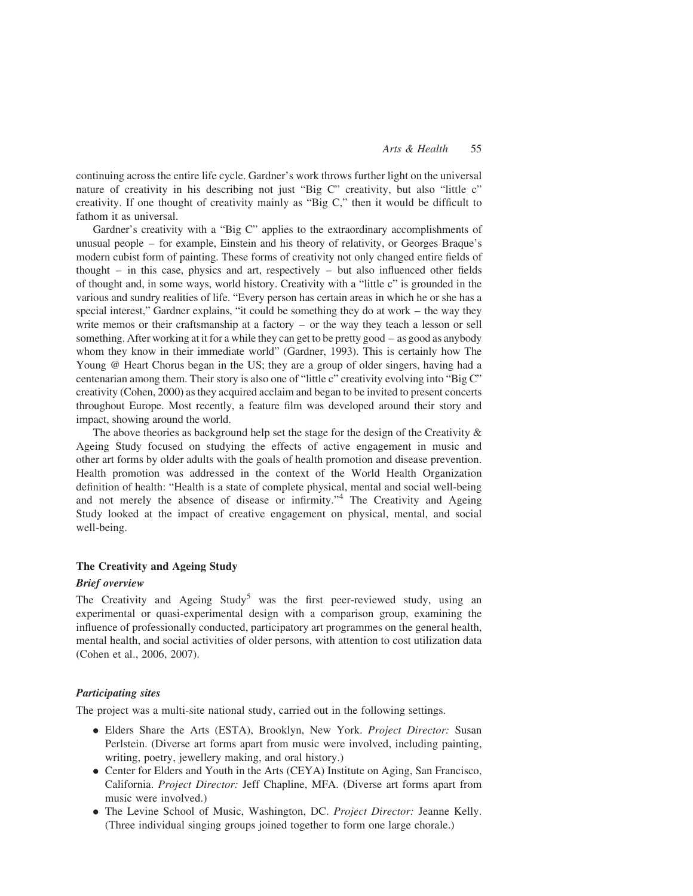continuing across the entire life cycle. Gardner's work throws further light on the universal nature of creativity in his describing not just "Big C" creativity, but also "little c" creativity. If one thought of creativity mainly as "Big C," then it would be difficult to fathom it as universal.

Gardner's creativity with a "Big C" applies to the extraordinary accomplishments of unusual people – for example, Einstein and his theory of relativity, or Georges Braque's modern cubist form of painting. These forms of creativity not only changed entire fields of thought  $-$  in this case, physics and art, respectively  $-$  but also influenced other fields of thought and, in some ways, world history. Creativity with a "little c" is grounded in the various and sundry realities of life. "Every person has certain areas in which he or she has a special interest," Gardner explains, "it could be something they do at work – the way they write memos or their craftsmanship at a factory – or the way they teach a lesson or sell something. After working at it for a while they can get to be pretty good – as good as anybody whom they know in their immediate world" (Gardner, 1993). This is certainly how The Young @ Heart Chorus began in the US; they are a group of older singers, having had a centenarian among them. Their story is also one of "little c" creativity evolving into "Big C" creativity (Cohen, 2000) as they acquired acclaim and began to be invited to present concerts throughout Europe. Most recently, a feature film was developed around their story and impact, showing around the world.

The above theories as background help set the stage for the design of the Creativity  $\&$ Ageing Study focused on studying the effects of active engagement in music and other art forms by older adults with the goals of health promotion and disease prevention. Health promotion was addressed in the context of the World Health Organization definition of health: "Health is a state of complete physical, mental and social well-being and not merely the absence of disease or infirmity.<sup> $,4$ </sup> The Creativity and Ageing Study looked at the impact of creative engagement on physical, mental, and social well-being.

# The Creativity and Ageing Study

# Brief overview

The Creativity and Ageing Study<sup>5</sup> was the first peer-reviewed study, using an experimental or quasi-experimental design with a comparison group, examining the influence of professionally conducted, participatory art programmes on the general health, mental health, and social activities of older persons, with attention to cost utilization data (Cohen et al., 2006, 2007).

# Participating sites

The project was a multi-site national study, carried out in the following settings.

- . Elders Share the Arts (ESTA), Brooklyn, New York. Project Director: Susan Perlstein. (Diverse art forms apart from music were involved, including painting, writing, poetry, jewellery making, and oral history.)
- . Center for Elders and Youth in the Arts (CEYA) Institute on Aging, San Francisco, California. Project Director: Jeff Chapline, MFA. (Diverse art forms apart from music were involved.)
- . The Levine School of Music, Washington, DC. Project Director: Jeanne Kelly. (Three individual singing groups joined together to form one large chorale.)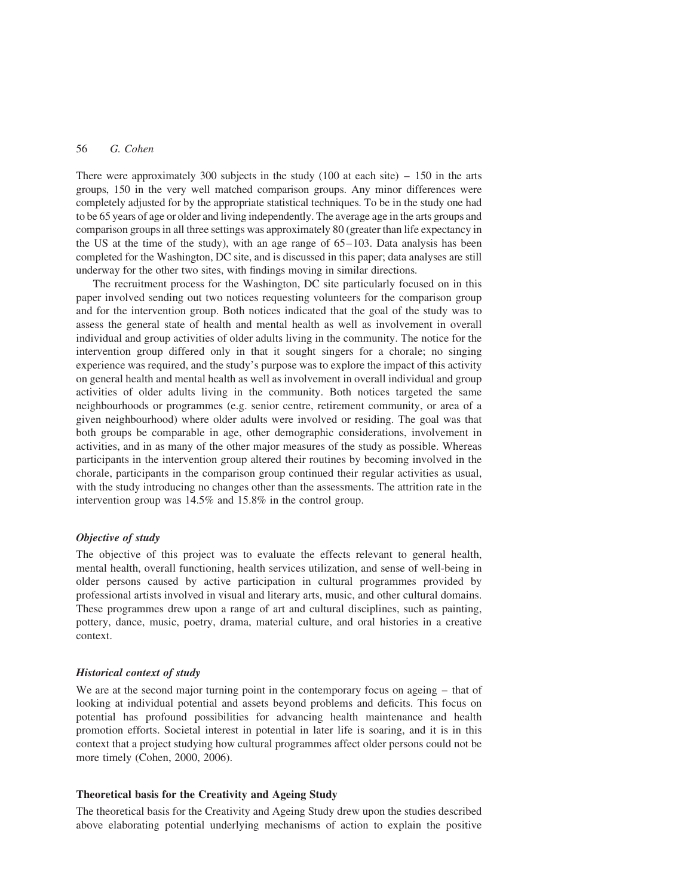There were approximately 300 subjects in the study  $(100$  at each site) – 150 in the arts groups, 150 in the very well matched comparison groups. Any minor differences were completely adjusted for by the appropriate statistical techniques. To be in the study one had to be 65 years of age or older and living independently. The average age in the arts groups and comparison groups in all three settings was approximately 80 (greater than life expectancy in the US at the time of the study), with an age range of 65–103. Data analysis has been completed for the Washington, DC site, and is discussed in this paper; data analyses are still underway for the other two sites, with findings moving in similar directions.

The recruitment process for the Washington, DC site particularly focused on in this paper involved sending out two notices requesting volunteers for the comparison group and for the intervention group. Both notices indicated that the goal of the study was to assess the general state of health and mental health as well as involvement in overall individual and group activities of older adults living in the community. The notice for the intervention group differed only in that it sought singers for a chorale; no singing experience was required, and the study's purpose was to explore the impact of this activity on general health and mental health as well as involvement in overall individual and group activities of older adults living in the community. Both notices targeted the same neighbourhoods or programmes (e.g. senior centre, retirement community, or area of a given neighbourhood) where older adults were involved or residing. The goal was that both groups be comparable in age, other demographic considerations, involvement in activities, and in as many of the other major measures of the study as possible. Whereas participants in the intervention group altered their routines by becoming involved in the chorale, participants in the comparison group continued their regular activities as usual, with the study introducing no changes other than the assessments. The attrition rate in the intervention group was 14.5% and 15.8% in the control group.

# Objective of study

The objective of this project was to evaluate the effects relevant to general health, mental health, overall functioning, health services utilization, and sense of well-being in older persons caused by active participation in cultural programmes provided by professional artists involved in visual and literary arts, music, and other cultural domains. These programmes drew upon a range of art and cultural disciplines, such as painting, pottery, dance, music, poetry, drama, material culture, and oral histories in a creative context.

#### Historical context of study

We are at the second major turning point in the contemporary focus on ageing – that of looking at individual potential and assets beyond problems and deficits. This focus on potential has profound possibilities for advancing health maintenance and health promotion efforts. Societal interest in potential in later life is soaring, and it is in this context that a project studying how cultural programmes affect older persons could not be more timely (Cohen, 2000, 2006).

# Theoretical basis for the Creativity and Ageing Study

The theoretical basis for the Creativity and Ageing Study drew upon the studies described above elaborating potential underlying mechanisms of action to explain the positive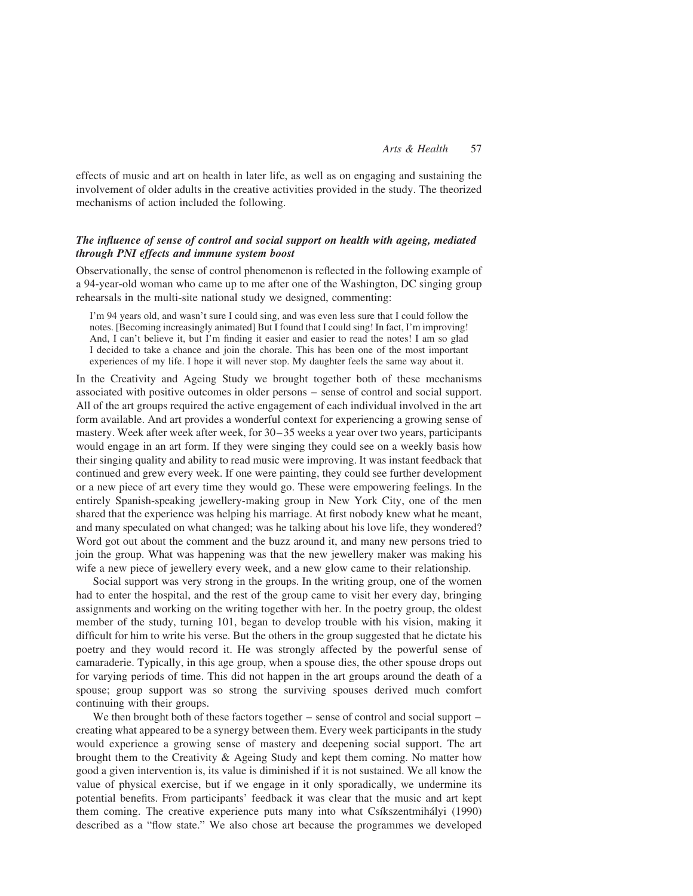effects of music and art on health in later life, as well as on engaging and sustaining the involvement of older adults in the creative activities provided in the study. The theorized mechanisms of action included the following.

# The influence of sense of control and social support on health with ageing, mediated through PNI effects and immune system boost

Observationally, the sense of control phenomenon is reflected in the following example of a 94-year-old woman who came up to me after one of the Washington, DC singing group rehearsals in the multi-site national study we designed, commenting:

I'm 94 years old, and wasn't sure I could sing, and was even less sure that I could follow the notes. [Becoming increasingly animated] But I found that I could sing! In fact, I'm improving! And, I can't believe it, but I'm finding it easier and easier to read the notes! I am so glad I decided to take a chance and join the chorale. This has been one of the most important experiences of my life. I hope it will never stop. My daughter feels the same way about it.

In the Creativity and Ageing Study we brought together both of these mechanisms associated with positive outcomes in older persons – sense of control and social support. All of the art groups required the active engagement of each individual involved in the art form available. And art provides a wonderful context for experiencing a growing sense of mastery. Week after week after week, for 30–35 weeks a year over two years, participants would engage in an art form. If they were singing they could see on a weekly basis how their singing quality and ability to read music were improving. It was instant feedback that continued and grew every week. If one were painting, they could see further development or a new piece of art every time they would go. These were empowering feelings. In the entirely Spanish-speaking jewellery-making group in New York City, one of the men shared that the experience was helping his marriage. At first nobody knew what he meant, and many speculated on what changed; was he talking about his love life, they wondered? Word got out about the comment and the buzz around it, and many new persons tried to join the group. What was happening was that the new jewellery maker was making his wife a new piece of jewellery every week, and a new glow came to their relationship.

Social support was very strong in the groups. In the writing group, one of the women had to enter the hospital, and the rest of the group came to visit her every day, bringing assignments and working on the writing together with her. In the poetry group, the oldest member of the study, turning 101, began to develop trouble with his vision, making it difficult for him to write his verse. But the others in the group suggested that he dictate his poetry and they would record it. He was strongly affected by the powerful sense of camaraderie. Typically, in this age group, when a spouse dies, the other spouse drops out for varying periods of time. This did not happen in the art groups around the death of a spouse; group support was so strong the surviving spouses derived much comfort continuing with their groups.

We then brought both of these factors together – sense of control and social support – creating what appeared to be a synergy between them. Every week participants in the study would experience a growing sense of mastery and deepening social support. The art brought them to the Creativity & Ageing Study and kept them coming. No matter how good a given intervention is, its value is diminished if it is not sustained. We all know the value of physical exercise, but if we engage in it only sporadically, we undermine its potential benefits. From participants' feedback it was clear that the music and art kept them coming. The creative experience puts many into what Csikszentmihályi (1990) described as a "flow state." We also chose art because the programmes we developed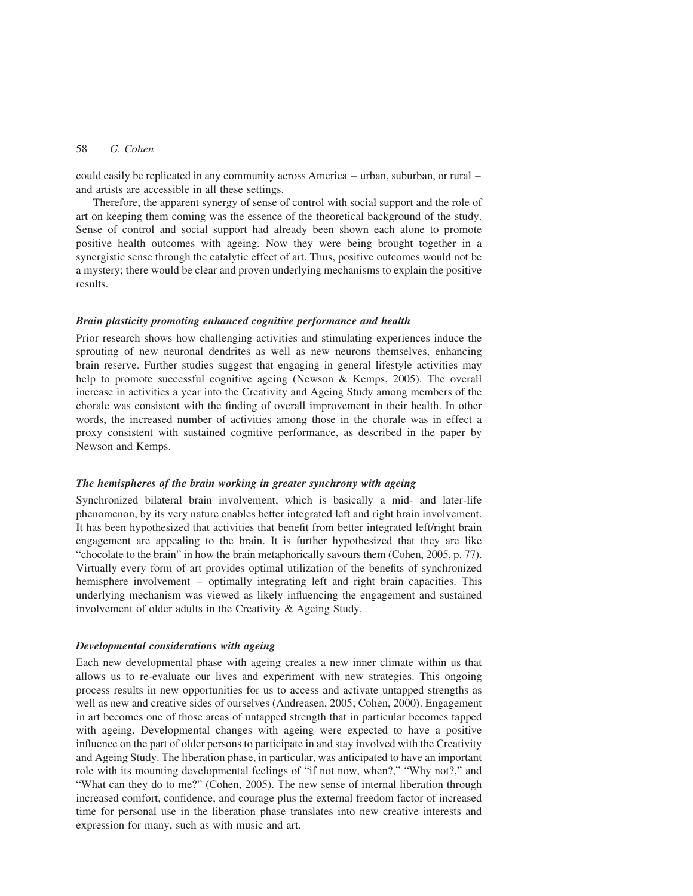could easily be replicated in any community across America – urban, suburban, or rural – and artists are accessible in all these settings.

Therefore, the apparent synergy of sense of control with social support and the role of art on keeping them coming was the essence of the theoretical background of the study. Sense of control and social support had already been shown each alone to promote positive health outcomes with ageing. Now they were being brought together in a synergistic sense through the catalytic effect of art. Thus, positive outcomes would not be a mystery; there would be clear and proven underlying mechanisms to explain the positive results.

#### Brain plasticity promoting enhanced cognitive performance and health

Prior research shows how challenging activities and stimulating experiences induce the sprouting of new neuronal dendrites as well as new neurons themselves, enhancing brain reserve. Further studies suggest that engaging in general lifestyle activities may help to promote successful cognitive ageing (Newson & Kemps, 2005). The overall increase in activities a year into the Creativity and Ageing Study among members of the chorale was consistent with the finding of overall improvement in their health. In other words, the increased number of activities among those in the chorale was in effect a proxy consistent with sustained cognitive performance, as described in the paper by Newson and Kemps.

#### The hemispheres of the brain working in greater synchrony with ageing

Synchronized bilateral brain involvement, which is basically a mid- and later-life phenomenon, by its very nature enables better integrated left and right brain involvement. It has been hypothesized that activities that benefit from better integrated left/right brain engagement are appealing to the brain. It is further hypothesized that they are like "chocolate to the brain" in how the brain metaphorically savours them (Cohen, 2005, p. 77). Virtually every form of art provides optimal utilization of the benefits of synchronized hemisphere involvement – optimally integrating left and right brain capacities. This underlying mechanism was viewed as likely influencing the engagement and sustained involvement of older adults in the Creativity & Ageing Study.

# Developmental considerations with ageing

Each new developmental phase with ageing creates a new inner climate within us that allows us to re-evaluate our lives and experiment with new strategies. This ongoing process results in new opportunities for us to access and activate untapped strengths as well as new and creative sides of ourselves (Andreasen, 2005; Cohen, 2000). Engagement in art becomes one of those areas of untapped strength that in particular becomes tapped with ageing. Developmental changes with ageing were expected to have a positive influence on the part of older persons to participate in and stay involved with the Creativity and Ageing Study. The liberation phase, in particular, was anticipated to have an important role with its mounting developmental feelings of "if not now, when?," "Why not?," and "What can they do to me?" (Cohen, 2005). The new sense of internal liberation through increased comfort, confidence, and courage plus the external freedom factor of increased time for personal use in the liberation phase translates into new creative interests and expression for many, such as with music and art.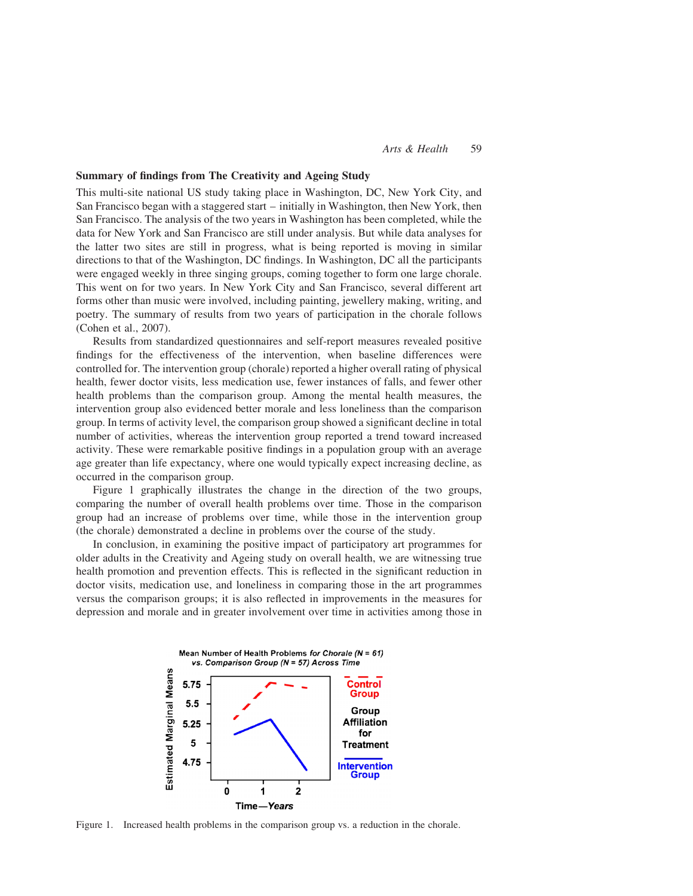#### Summary of findings from The Creativity and Ageing Study

This multi-site national US study taking place in Washington, DC, New York City, and San Francisco began with a staggered start – initially in Washington, then New York, then San Francisco. The analysis of the two years in Washington has been completed, while the data for New York and San Francisco are still under analysis. But while data analyses for the latter two sites are still in progress, what is being reported is moving in similar directions to that of the Washington, DC findings. In Washington, DC all the participants were engaged weekly in three singing groups, coming together to form one large chorale. This went on for two years. In New York City and San Francisco, several different art forms other than music were involved, including painting, jewellery making, writing, and poetry. The summary of results from two years of participation in the chorale follows (Cohen et al., 2007).

Results from standardized questionnaires and self-report measures revealed positive findings for the effectiveness of the intervention, when baseline differences were controlled for. The intervention group (chorale) reported a higher overall rating of physical health, fewer doctor visits, less medication use, fewer instances of falls, and fewer other health problems than the comparison group. Among the mental health measures, the intervention group also evidenced better morale and less loneliness than the comparison group. In terms of activity level, the comparison group showed a significant decline in total number of activities, whereas the intervention group reported a trend toward increased activity. These were remarkable positive findings in a population group with an average age greater than life expectancy, where one would typically expect increasing decline, as occurred in the comparison group.

Figure 1 graphically illustrates the change in the direction of the two groups, comparing the number of overall health problems over time. Those in the comparison group had an increase of problems over time, while those in the intervention group (the chorale) demonstrated a decline in problems over the course of the study.

In conclusion, in examining the positive impact of participatory art programmes for older adults in the Creativity and Ageing study on overall health, we are witnessing true health promotion and prevention effects. This is reflected in the significant reduction in doctor visits, medication use, and loneliness in comparing those in the art programmes versus the comparison groups; it is also reflected in improvements in the measures for depression and morale and in greater involvement over time in activities among those in



Figure 1. Increased health problems in the comparison group vs. a reduction in the chorale.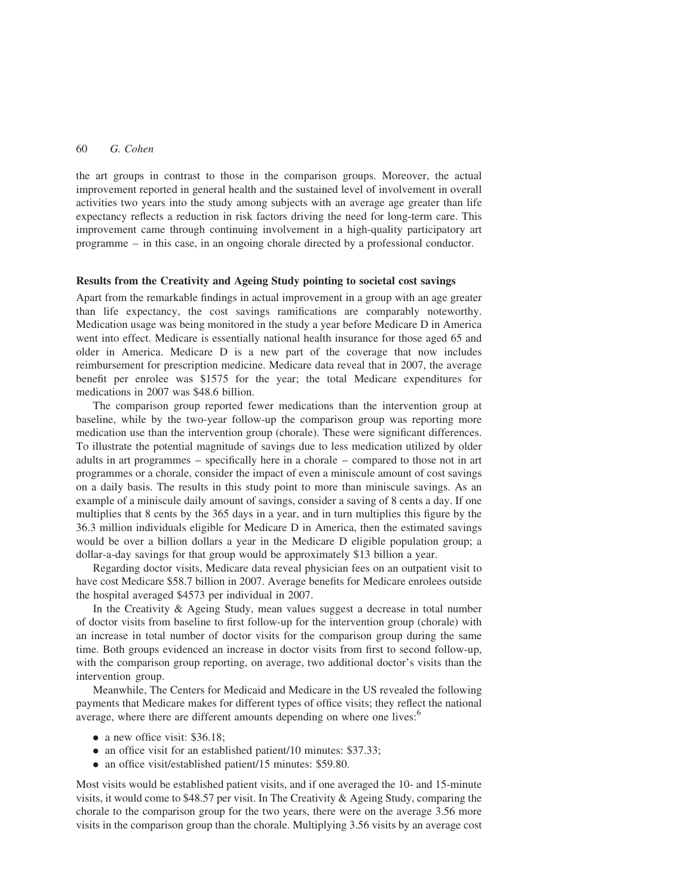the art groups in contrast to those in the comparison groups. Moreover, the actual improvement reported in general health and the sustained level of involvement in overall activities two years into the study among subjects with an average age greater than life expectancy reflects a reduction in risk factors driving the need for long-term care. This improvement came through continuing involvement in a high-quality participatory art programme – in this case, in an ongoing chorale directed by a professional conductor.

#### Results from the Creativity and Ageing Study pointing to societal cost savings

Apart from the remarkable findings in actual improvement in a group with an age greater than life expectancy, the cost savings ramifications are comparably noteworthy. Medication usage was being monitored in the study a year before Medicare D in America went into effect. Medicare is essentially national health insurance for those aged 65 and older in America. Medicare D is a new part of the coverage that now includes reimbursement for prescription medicine. Medicare data reveal that in 2007, the average benefit per enrolee was \$1575 for the year; the total Medicare expenditures for medications in 2007 was \$48.6 billion.

The comparison group reported fewer medications than the intervention group at baseline, while by the two-year follow-up the comparison group was reporting more medication use than the intervention group (chorale). These were significant differences. To illustrate the potential magnitude of savings due to less medication utilized by older adults in art programmes – specifically here in a chorale – compared to those not in art programmes or a chorale, consider the impact of even a miniscule amount of cost savings on a daily basis. The results in this study point to more than miniscule savings. As an example of a miniscule daily amount of savings, consider a saving of 8 cents a day. If one multiplies that 8 cents by the 365 days in a year, and in turn multiplies this figure by the 36.3 million individuals eligible for Medicare D in America, then the estimated savings would be over a billion dollars a year in the Medicare D eligible population group; a dollar-a-day savings for that group would be approximately \$13 billion a year.

Regarding doctor visits, Medicare data reveal physician fees on an outpatient visit to have cost Medicare \$58.7 billion in 2007. Average benefits for Medicare enrolees outside the hospital averaged \$4573 per individual in 2007.

In the Creativity & Ageing Study, mean values suggest a decrease in total number of doctor visits from baseline to first follow-up for the intervention group (chorale) with an increase in total number of doctor visits for the comparison group during the same time. Both groups evidenced an increase in doctor visits from first to second follow-up, with the comparison group reporting, on average, two additional doctor's visits than the intervention group.

Meanwhile, The Centers for Medicaid and Medicare in the US revealed the following payments that Medicare makes for different types of office visits; they reflect the national average, where there are different amounts depending on where one lives:<sup>6</sup>

- a new office visit: \$36.18;
- . an office visit for an established patient/10 minutes: \$37.33;
- . an office visit/established patient/15 minutes: \$59.80.

Most visits would be established patient visits, and if one averaged the 10- and 15-minute visits, it would come to \$48.57 per visit. In The Creativity  $\&$  Ageing Study, comparing the chorale to the comparison group for the two years, there were on the average 3.56 more visits in the comparison group than the chorale. Multiplying 3.56 visits by an average cost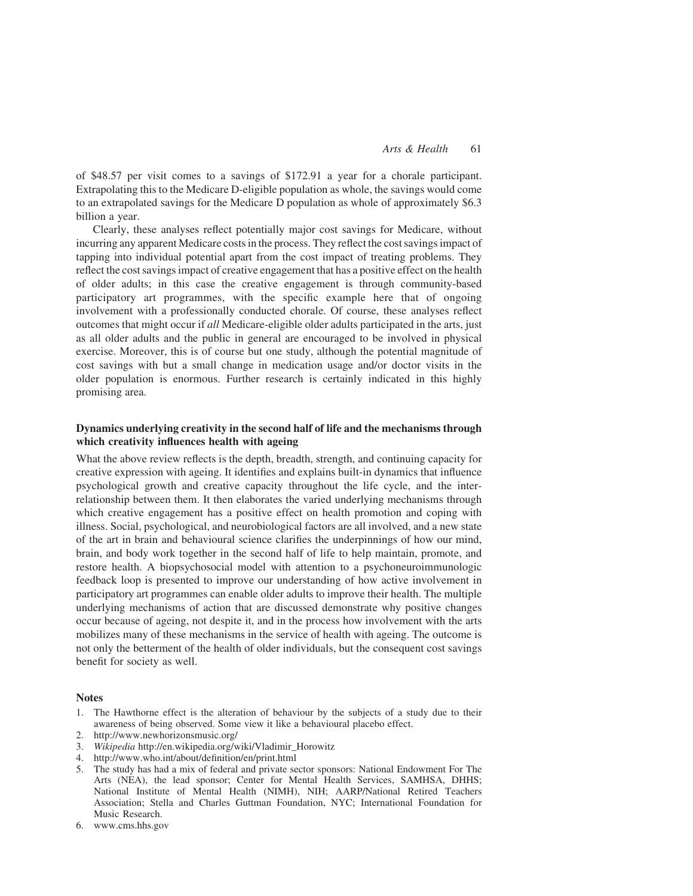of \$48.57 per visit comes to a savings of \$172.91 a year for a chorale participant. Extrapolating this to the Medicare D-eligible population as whole, the savings would come to an extrapolated savings for the Medicare D population as whole of approximately \$6.3 billion a year.

Clearly, these analyses reflect potentially major cost savings for Medicare, without incurring any apparent Medicare costs in the process. They reflect the cost savings impact of tapping into individual potential apart from the cost impact of treating problems. They reflect the cost savings impact of creative engagement that has a positive effect on the health of older adults; in this case the creative engagement is through community-based participatory art programmes, with the specific example here that of ongoing involvement with a professionally conducted chorale. Of course, these analyses reflect outcomes that might occur if all Medicare-eligible older adults participated in the arts, just as all older adults and the public in general are encouraged to be involved in physical exercise. Moreover, this is of course but one study, although the potential magnitude of cost savings with but a small change in medication usage and/or doctor visits in the older population is enormous. Further research is certainly indicated in this highly promising area.

# Dynamics underlying creativity in the second half of life and the mechanisms through which creativity influences health with ageing

What the above review reflects is the depth, breadth, strength, and continuing capacity for creative expression with ageing. It identifies and explains built-in dynamics that influence psychological growth and creative capacity throughout the life cycle, and the interrelationship between them. It then elaborates the varied underlying mechanisms through which creative engagement has a positive effect on health promotion and coping with illness. Social, psychological, and neurobiological factors are all involved, and a new state of the art in brain and behavioural science clarifies the underpinnings of how our mind, brain, and body work together in the second half of life to help maintain, promote, and restore health. A biopsychosocial model with attention to a psychoneuroimmunologic feedback loop is presented to improve our understanding of how active involvement in participatory art programmes can enable older adults to improve their health. The multiple underlying mechanisms of action that are discussed demonstrate why positive changes occur because of ageing, not despite it, and in the process how involvement with the arts mobilizes many of these mechanisms in the service of health with ageing. The outcome is not only the betterment of the health of older individuals, but the consequent cost savings benefit for society as well.

#### **Notes**

- 1. The Hawthorne effect is the alteration of behaviour by the subjects of a study due to their awareness of being observed. Some view it like a behavioural placebo effect.
- 2. http://www.newhorizonsmusic.org/
- 3. Wikipedia http://en.wikipedia.org/wiki/Vladimir\_Horowitz
- 4. http://www.who.int/about/definition/en/print.html
- 5. The study has had a mix of federal and private sector sponsors: National Endowment For The Arts (NEA), the lead sponsor; Center for Mental Health Services, SAMHSA, DHHS; National Institute of Mental Health (NIMH), NIH; AARP/National Retired Teachers Association; Stella and Charles Guttman Foundation, NYC; International Foundation for Music Research.
- 6. www.cms.hhs.gov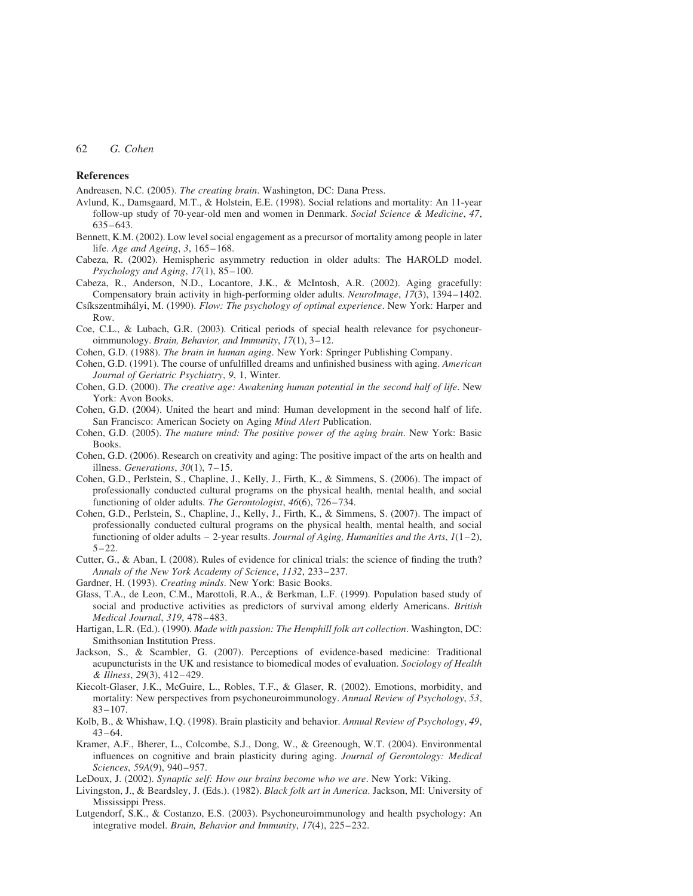#### References

Andreasen, N.C. (2005). The creating brain. Washington, DC: Dana Press.

- Avlund, K., Damsgaard, M.T., & Holstein, E.E. (1998). Social relations and mortality: An 11-year follow-up study of 70-year-old men and women in Denmark. Social Science & Medicine, 47,  $635 - 643$ .
- Bennett, K.M. (2002). Low level social engagement as a precursor of mortality among people in later life. Age and Ageing, 3, 165-168.
- Cabeza, R. (2002). Hemispheric asymmetry reduction in older adults: The HAROLD model. Psychology and Aging,  $17(1)$ ,  $85-100$ .
- Cabeza, R., Anderson, N.D., Locantore, J.K., & McIntosh, A.R. (2002). Aging gracefully: Compensatory brain activity in high-performing older adults. *NeuroImage*, 17(3), 1394–1402.
- Csíkszentmihályi, M. (1990). Flow: The psychology of optimal experience. New York: Harper and Row.
- Coe, C.L., & Lubach, G.R. (2003). Critical periods of special health relevance for psychoneuroimmunology. Brain, Behavior, and Immunity, 17(1), 3–12.
- Cohen, G.D. (1988). The brain in human aging. New York: Springer Publishing Company.
- Cohen, G.D. (1991). The course of unfulfilled dreams and unfinished business with aging. American Journal of Geriatric Psychiatry, 9, 1, Winter.
- Cohen, G.D. (2000). The creative age: Awakening human potential in the second half of life. New York: Avon Books.
- Cohen, G.D. (2004). United the heart and mind: Human development in the second half of life. San Francisco: American Society on Aging Mind Alert Publication.
- Cohen, G.D. (2005). The mature mind: The positive power of the aging brain. New York: Basic Books.
- Cohen, G.D. (2006). Research on creativity and aging: The positive impact of the arts on health and illness. Generations,  $30(1)$ ,  $7-15$ .
- Cohen, G.D., Perlstein, S., Chapline, J., Kelly, J., Firth, K., & Simmens, S. (2006). The impact of professionally conducted cultural programs on the physical health, mental health, and social functioning of older adults. The Gerontologist, 46(6), 726-734.
- Cohen, G.D., Perlstein, S., Chapline, J., Kelly, J., Firth, K., & Simmens, S. (2007). The impact of professionally conducted cultural programs on the physical health, mental health, and social functioning of older adults – 2-year results. Journal of Aging, Humanities and the Arts,  $I(1-2)$ ,  $5 - 22.$
- Cutter, G., & Aban, I. (2008). Rules of evidence for clinical trials: the science of finding the truth? Annals of the New York Academy of Science, 1132, 233-237.
- Gardner, H. (1993). Creating minds. New York: Basic Books.
- Glass, T.A., de Leon, C.M., Marottoli, R.A., & Berkman, L.F. (1999). Population based study of social and productive activities as predictors of survival among elderly Americans. British Medical Journal, 319, 478– 483.
- Hartigan, L.R. (Ed.). (1990). Made with passion: The Hemphill folk art collection. Washington, DC: Smithsonian Institution Press.
- Jackson, S., & Scambler, G. (2007). Perceptions of evidence-based medicine: Traditional acupuncturists in the UK and resistance to biomedical modes of evaluation. Sociology of Health & Illness, 29(3), 412– 429.
- Kiecolt-Glaser, J.K., McGuire, L., Robles, T.F., & Glaser, R. (2002). Emotions, morbidity, and mortality: New perspectives from psychoneuroimmunology. Annual Review of Psychology, 53,  $83 - 107$ .
- Kolb, B., & Whishaw, I.Q. (1998). Brain plasticity and behavior. Annual Review of Psychology, 49,  $43 - 64.$
- Kramer, A.F., Bherer, L., Colcombe, S.J., Dong, W., & Greenough, W.T. (2004). Environmental influences on cognitive and brain plasticity during aging. Journal of Gerontology: Medical Sciences, 59A(9), 940-957.

LeDoux, J. (2002). Synaptic self: How our brains become who we are. New York: Viking.

- Livingston, J., & Beardsley, J. (Eds.). (1982). Black folk art in America. Jackson, MI: University of Mississippi Press.
- Lutgendorf, S.K., & Costanzo, E.S. (2003). Psychoneuroimmunology and health psychology: An integrative model. Brain, Behavior and Immunity, 17(4), 225–232.